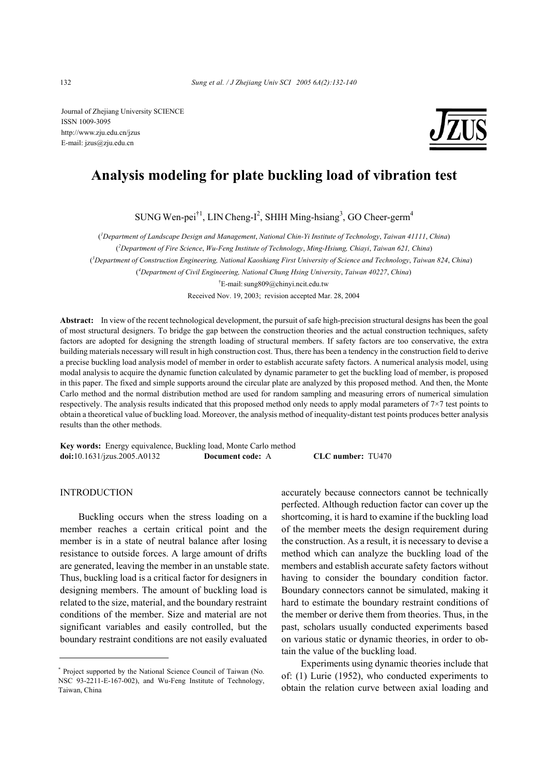Journal of Zhejiang University SCIENCE ISSN 1009-3095 http://www.zju.edu.cn/jzus E-mail: jzus@zju.edu.cn



## **Analysis modeling for plate buckling load of vibration test**

SUNG Wen-pei<sup>†1</sup>, LIN Cheng-I<sup>2</sup>, SHIH Ming-hsiang<sup>3</sup>, GO Cheer-germ<sup>4</sup>

( *1 Department of Landscape Design and Management*, *National Chin-Yi Institute of Technology*, *Taiwan 41111*, *China*)

( *2 Department of Fire Science*, *Wu-Feng Institute of Technology*, *Ming-Hsiung, Chiayi*, *Taiwan 621, China*)

( *3 Department of Construction Engineering, National Kaoshiang First University of Science and Technology*, *Taiwan 824*, *China*)

( *4 Department of Civil Engineering, National Chung Hsing University*, *Taiwan 40227*, *China*)

† E-mail:sung809@chinyi.ncit.edu.tw

Received Nov. 19, 2003; revision accepted Mar. 28, 2004

**Abstract:** In view of the recent technological development, the pursuit of safe high-precision structural designs has been the goal of most structural designers. To bridge the gap between the construction theories and the actual construction techniques, safety factors are adopted for designing the strength loading of structural members. If safety factors are too conservative, the extra building materials necessary will result in high construction cost. Thus, there has been a tendency in the construction field to derive a precise buckling load analysis model of member in order to establish accurate safety factors. A numerical analysis model, using modal analysis to acquire the dynamic function calculated by dynamic parameter to get the buckling load of member, is proposed in this paper. The fixed and simple supports around the circular plate are analyzed by this proposed method. And then, the Monte Carlo method and the normal distribution method are used for random sampling and measuring errors of numerical simulation respectively. The analysis results indicated that this proposed method only needs to apply modal parameters of 7×7 test points to obtain a theoretical value of buckling load. Moreover, the analysis method of inequality-distant test points produces better analysis results than the other methods.

**Key words:** Energy equivalence, Buckling load, Monte Carlo method **doi:**10.1631/jzus.2005.A0132 **Document code:** A **CLC number:** TU470

## INTRODUCTION

Buckling occurs when the stress loading on a member reaches a certain critical point and the member is in a state of neutral balance after losing resistance to outside forces. A large amount of drifts are generated, leaving the member in an unstable state. Thus, buckling load is a critical factor for designers in designing members. The amount of buckling load is related to the size, material, and the boundary restraint conditions of the member. Size and material are not significant variables and easily controlled, but the boundary restraint conditions are not easily evaluated

accurately because connectors cannot be technically perfected. Although reduction factor can cover up the shortcoming, it is hard to examine if the buckling load of the member meets the design requirement during the construction. As a result, it is necessary to devise a method which can analyze the buckling load of the members and establish accurate safety factors without having to consider the boundary condition factor. Boundary connectors cannot be simulated, making it hard to estimate the boundary restraint conditions of the member or derive them from theories. Thus, in the past, scholars usually conducted experiments based on various static or dynamic theories, in order to obtain the value of the buckling load.

Experiments using dynamic theories include that of: (1) Lurie (1952), who conducted experiments to obtain the relation curve between axial loading and

<sup>\*</sup> Project supported by the National Science Council of Taiwan (No. NSC 93-2211-E-167-002), and Wu-Feng Institute of Technology, Taiwan, China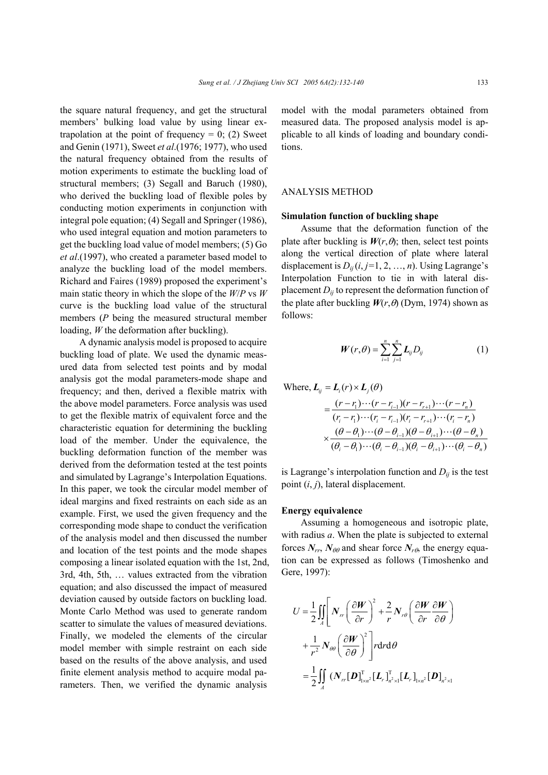the square natural frequency, and get the structural members' bulking load value by using linear extrapolation at the point of frequency  $= 0$ ; (2) Sweet and Genin (1971), Sweet *et al*.(1976; 1977), who used the natural frequency obtained from the results of motion experiments to estimate the buckling load of structural members; (3) Segall and Baruch (1980), who derived the buckling load of flexible poles by conducting motion experiments in conjunction with integral pole equation; (4) Segall and Springer (1986), who used integral equation and motion parameters to get the buckling load value of model members; (5) Go *et al*.(1997), who created a parameter based model to analyze the buckling load of the model members. Richard and Faires (1989) proposed the experiment's main static theory in which the slope of the *W*/*P* vs *W* curve is the buckling load value of the structural members (*P* being the measured structural member loading, *W* the deformation after buckling).

A dynamic analysis model is proposed to acquire buckling load of plate. We used the dynamic measured data from selected test points and by modal analysis got the modal parameters-mode shape and frequency; and then, derived a flexible matrix with the above model parameters. Force analysis was used to get the flexible matrix of equivalent force and the characteristic equation for determining the buckling load of the member. Under the equivalence, the buckling deformation function of the member was derived from the deformation tested at the test points and simulated by Lagrange's Interpolation Equations. In this paper, we took the circular model member of ideal margins and fixed restraints on each side as an example. First, we used the given frequency and the corresponding mode shape to conduct the verification of the analysis model and then discussed the number and location of the test points and the mode shapes composing a linear isolated equation with the 1st, 2nd, 3rd, 4th, 5th, … values extracted from the vibration equation; and also discussed the impact of measured deviation caused by outside factors on buckling load. Monte Carlo Method was used to generate random scatter to simulate the values of measured deviations. Finally, we modeled the elements of the circular model member with simple restraint on each side based on the results of the above analysis, and used finite element analysis method to acquire modal parameters. Then, we verified the dynamic analysis

model with the modal parameters obtained from measured data. The proposed analysis model is applicable to all kinds of loading and boundary conditions.

## ANALYSIS METHOD

## **Simulation function of buckling shape**

Assume that the deformation function of the plate after buckling is  $W(r, \theta)$ ; then, select test points along the vertical direction of plate where lateral displacement is  $D_{ij}$  ( $i, j=1, 2, ..., n$ ). Using Lagrange's Interpolation Function to tie in with lateral displacement  $D_{ij}$  to represent the deformation function of the plate after buckling  $W(r, \theta)$  (Dym, 1974) shown as follows:

$$
W(r,\theta) = \sum_{i=1}^{n} \sum_{j=1}^{n} L_{ij} D_{ij}
$$
 (1)

Where, 
$$
L_{ij} = L_i(r) \times L_j(\theta)
$$
  
\n
$$
= \frac{(r - r_1) \cdots (r - r_{i-1})(r - r_{i+1}) \cdots (r - r_n)}{(r_i - r_1) \cdots (r_i - r_{i-1})(r_i - r_{i+1}) \cdots (r_i - r_n)}
$$
\n
$$
\times \frac{(\theta - \theta_1) \cdots (\theta - \theta_{i-1})(\theta - \theta_{i+1}) \cdots (\theta - \theta_n)}{(\theta_i - \theta_1) \cdots (\theta_i - \theta_{i-1})(\theta_i - \theta_{i+1}) \cdots (\theta_i - \theta_n)}
$$

is Lagrange's interpolation function and  $D_{ij}$  is the test point  $(i, j)$ , lateral displacement.

#### **Energy equivalence**

Assuming a homogeneous and isotropic plate, with radius *a*. When the plate is subjected to external forces  $N_{rr}$ ,  $N_{\theta\theta}$  and shear force  $N_{r\theta}$ , the energy equation can be expressed as follows (Timoshenko and Gere, 1997):

$$
U = \frac{1}{2} \iint_{A} \left[ N_{rr} \left( \frac{\partial W}{\partial r} \right)^2 + \frac{2}{r} N_{r\theta} \left( \frac{\partial W}{\partial r} \frac{\partial W}{\partial \theta} \right) \right]
$$
  
+ 
$$
\frac{1}{r^2} N_{\theta\theta} \left( \frac{\partial W}{\partial \theta} \right)^2 \left] r dr d\theta
$$
  
= 
$$
\frac{1}{2} \iint_{A} \left( N_{rr} [\boldsymbol{D}]_{1 \times r^2}^{\mathrm{T}} [\boldsymbol{L}_r]_{r^2 \times 1}^{\mathrm{T}} [\boldsymbol{L}_r]_{1 \times r^2} [\boldsymbol{D}]_{r^2 \times 1} \right)
$$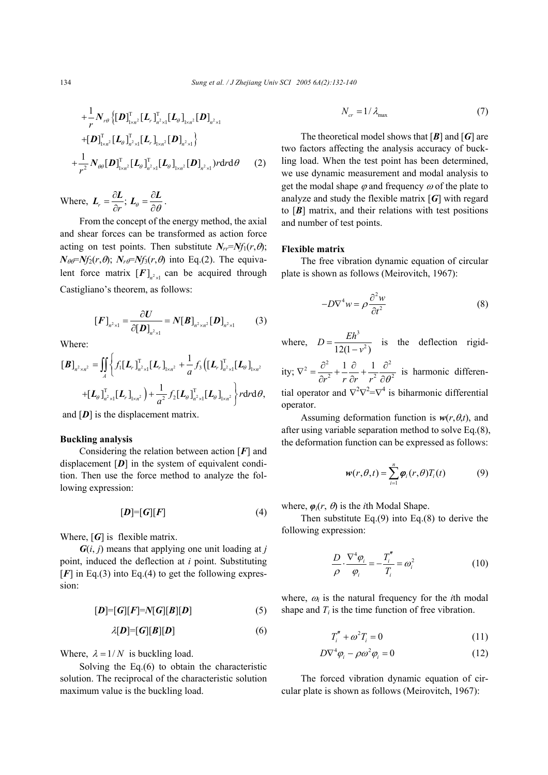$$
+\frac{1}{r}N_{r\theta}\left\{[\bm{D}]_{1\times n^2}^{\mathrm{T}}[\bm{L}_r]_{n^2\times1}^{\mathrm{T}}[\bm{L}_\theta]_{1\times n^2}[\bm{D}]_{n^2\times1}\right\}+\left[\bm{D}\right]_{1\times n^2}^{\mathrm{T}}[\bm{L}_\theta]_{n^2\times1}^{\mathrm{T}}[\bm{L}_r]_{1\times n^2}[\bm{D}]_{n^2\times1}\right\}+\frac{1}{r^2}N_{\theta\theta}[\bm{D}]_{1\times n^2}^{\mathrm{T}}[\bm{L}_\theta]_{n^2\times1}^{\mathrm{T}}[\bm{L}_\theta]_{1\times n^2}[\bm{D}]_{n^2\times1}rdrd\theta
$$
(2)

Where,  $L_r = \frac{\partial L}{\partial r}$ ;  $L_\theta = \frac{\partial L}{\partial \theta}$ .

From the concept of the energy method, the axial and shear forces can be transformed as action force acting on test points. Then substitute  $N_r = N_f(r, \theta)$ ;  $N_{\theta\theta} = Nf_2(r,\theta)$ ;  $N_{r\theta} = Nf_3(r,\theta)$  into Eq.(2). The equivalent force matrix  $[F]_{n^2 \times 1}$  can be acquired through Castigliano's theorem, as follows:

$$
[F]_{n^2 \times 1} = \frac{\partial U}{\partial [D]_{n^2 \times 1}} = N[B]_{n^2 \times n^2} [D]_{n^2 \times 1}
$$
 (3)

Where:

$$
[\boldsymbol{B}]_{n^2 \times n^2} = \iint_A \left\{ f_1 [\boldsymbol{L}_r]_{n^2 \times 1}^{\mathrm{T}} [\boldsymbol{L}_r]_{1 \times n^2} + \frac{1}{a} f_3 \left( [\boldsymbol{L}_r]_{n^2 \times 1}^{\mathrm{T}} [\boldsymbol{L}_\theta]_{1 \times n^2} \right) \right\} + [\boldsymbol{L}_\theta]_{n^2 \times 1}^{\mathrm{T}} [\boldsymbol{L}_r]_{1 \times n^2} + [\boldsymbol{L}_\theta]_{n^2 \times 1}^{\mathrm{T}} [\boldsymbol{L}_r]_{1 \times n^2} + \frac{1}{a^2} f_2 [\boldsymbol{L}_\theta]_{n^2 \times 1}^{\mathrm{T}} [\boldsymbol{L}_\theta]_{1 \times n^2} \right\} r \mathrm{d}r \mathrm{d}\theta,
$$

and  $[D]$  is the displacement matrix.

## **Buckling analysis**

Considering the relation between action [*F*] and displacement [*D*] in the system of equivalent condition. Then use the force method to analyze the following expression:

$$
[D] = [G][F] \tag{4}
$$

Where, [G] is flexible matrix.

 $G(i, j)$  means that applying one unit loading at *j* point, induced the deflection at *i* point. Substituting  $[F]$  in Eq.(3) into Eq.(4) to get the following expression:

$$
[D] = [G][F] = N[G][B][D] \tag{5}
$$

$$
\lambda[\boldsymbol{D}]=[\boldsymbol{G}][\boldsymbol{B}][\boldsymbol{D}] \tag{6}
$$

Where,  $\lambda = 1/N$  is buckling load.

Solving the Eq.(6) to obtain the characteristic solution. The reciprocal of the characteristic solution maximum value is the buckling load.

$$
N_{cr} = 1/\lambda_{\text{max}}\tag{7}
$$

The theoretical model shows that [*B*] and [*G*] are two factors affecting the analysis accuracy of buckling load. When the test point has been determined, we use dynamic measurement and modal analysis to get the modal shape  $\varphi$  and frequency  $\omega$  of the plate to analyze and study the flexible matrix [*G*] with regard to  $[B]$  matrix, and their relations with test positions and number of test points.

#### **Flexible matrix**

The free vibration dynamic equation of circular plate is shown as follows (Meirovitch, 1967):

$$
-D\nabla^4 w = \rho \frac{\partial^2 w}{\partial t^2} \tag{8}
$$

where,  $D = \frac{Eh^3}{4\pi\epsilon_0}$  $12(1 - v^2)$  $D = \frac{Eh^3}{12(1 - v^2)}$  is the deflection rigid-

ity;  $\nabla^2 = \frac{\partial^2}{\partial x^2} + \frac{1}{2} \frac{\partial}{\partial x} + \frac{1}{2} \frac{\partial^2}{\partial y^2}$ 2  $\mu$   $\partial u$   $\mu^2$   $\partial \Omega^2$  $1 \partial 1$  $r^2$  *r*  $\partial r$  *r*<sup>2</sup>  $\partial \theta$  $\nabla^2 = \frac{\partial^2}{\partial x^2} + \frac{1}{2} \frac{\partial}{\partial y} + \frac{1}{2} \frac{\partial}{\partial z}$  $\partial r^2$  r  $\partial r$  r<sup>2</sup>  $\partial$  is harmonic differential operator and  $\nabla^2 \nabla^2 = \nabla^4$  is biharmonic differential operator.

Assuming deformation function is  $w(r, \theta, t)$ , and after using variable separation method to solve Eq.(8), the deformation function can be expressed as follows:

$$
w(r, \theta, t) = \sum_{i=1}^{n} \varphi_i(r, \theta) T_i(t)
$$
 (9)

where,  $\varphi_i(r, \theta)$  is the *i*th Modal Shape.

Then substitute Eq. $(9)$  into Eq. $(8)$  to derive the following expression:

$$
\frac{D}{\rho} \cdot \frac{\nabla^4 \varphi_i}{\varphi_i} = -\frac{T_i''}{T_i} = \omega_i^2 \tag{10}
$$

where,  $\omega_i$  is the natural frequency for the *i*th modal shape and  $T_i$  is the time function of free vibration.

$$
T_i'' + \omega^2 T_i = 0 \tag{11}
$$

$$
D\nabla^4 \varphi_i - \rho \omega^2 \varphi_i = 0 \tag{12}
$$

The forced vibration dynamic equation of circular plate is shown as follows (Meirovitch, 1967):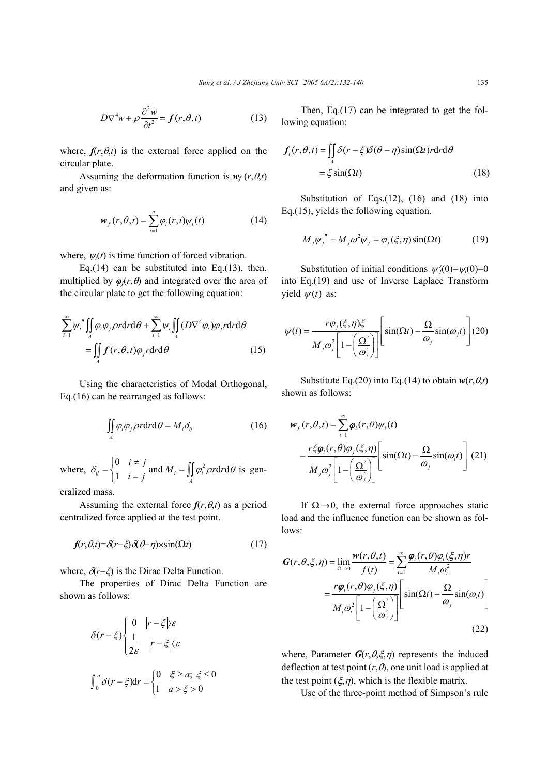$$
D\nabla^4 w + \rho \frac{\partial^2 w}{\partial t^2} = f(r, \theta, t)
$$
 (13)

where,  $f(r, \theta, t)$  is the external force applied on the circular plate.

Assuming the deformation function is  $w_f(r, \theta, t)$ and given as:

$$
w_f(r, \theta, t) = \sum_{i=1}^n \varphi_i(r, i) \psi_i(t)
$$
 (14)

where,  $\psi_i(t)$  is time function of forced vibration.

Eq.(14) can be substituted into Eq.(13), then, multiplied by  $\varphi_i(r, \theta)$  and integrated over the area of the circular plate to get the following equation:

$$
\sum_{i=1}^{\infty} \psi_i'' \iint_A \varphi_i \varphi_j \rho r dr d\theta + \sum_{i=1}^{\infty} \psi_i \iint_A (D\nabla^4 \varphi_i) \varphi_j r dr d\theta
$$
\n
$$
= \iint_A f(r, \theta, t) \varphi_j r dr d\theta \qquad (15)
$$

Using the characteristics of Modal Orthogonal, Eq.(16) can be rearranged as follows:

$$
\iint_{A} \varphi_{i} \varphi_{j} \rho r dr d\theta = M_{i} \delta_{ij}
$$
 (16)

where,  $\delta_{ii} = \begin{cases} 0 \\ 1 \end{cases}$  $\binom{ij}{\ }1$  $i \neq j$  $\delta_{ij} = \begin{cases} 0 & i \neq j \\ 1 & i = j \end{cases}$  and  $M_i = \iint_A \varphi_i^2 \rho r dr d\theta$  is gen-

eralized mass.

Assuming the external force  $f(r, \theta, t)$  as a period centralized force applied at the test point.

$$
f(r, \theta, t) = \delta(r - \xi)\delta(\theta - \eta) \times \sin(\Omega t)
$$
 (17)

where,  $δr−ξ$ ) is the Dirac Delta Function.

The properties of Dirac Delta Function are shown as follows:

$$
\delta(r-\xi)\begin{cases} 0 & |r-\xi|\varepsilon\\ \frac{1}{2\varepsilon} & |r-\xi|\langle\varepsilon \rangle\end{cases}
$$

$$
\int_0^a \delta(r-\xi)dr = \begin{cases} 0 & \xi \ge a; \xi \le 0\\ 1 & a > \xi > 0 \end{cases}
$$

Then, Eq.(17) can be integrated to get the following equation:

$$
f_i(r, \theta, t) = \iint_A \delta(r - \xi) \delta(\theta - \eta) \sin(\Omega t) r dr d\theta
$$
  
=  $\xi \sin(\Omega t)$  (18)

Substitution of Eqs. $(12)$ ,  $(16)$  and  $(18)$  into Eq.(15), yields the following equation.

$$
M_j \psi_j'' + M_j \omega^2 \psi_j = \varphi_j(\xi, \eta) \sin(\Omega t) \tag{19}
$$

Substitution of initial conditions  $\psi_i'(0) = \psi_i(0) = 0$ into Eq.(19) and use of Inverse Laplace Transform yield  $\psi(t)$  as:

$$
\psi(t) = \frac{r\varphi_j(\xi, \eta)\xi}{M_j\omega_j^2 \left[1 - \left(\frac{\Omega^2}{\omega_j^2}\right)\right]} \left[\sin(\Omega t) - \frac{\Omega}{\omega_j}\sin(\omega_j t)\right] (20)
$$

Substitute Eq.(20) into Eq.(14) to obtain  $w(r, \theta, t)$ shown as follows:

$$
\boldsymbol{w}_f(r,\theta,t) = \sum_{i=1}^{\infty} \boldsymbol{\varphi}_i(r,\theta) \boldsymbol{\psi}_i(t)
$$

$$
= \frac{r \xi \boldsymbol{\varphi}_i(r,\theta) \boldsymbol{\varphi}_j(\xi,\eta)}{M_j \omega_j^2 \left[1 - \left(\frac{\Omega^2}{\omega_j^2}\right)\right]} \left[\sin(\Omega t) - \frac{\Omega}{\omega_j} \sin(\omega_i t)\right] (21)
$$

If  $\Omega \rightarrow 0$ , the external force approaches static load and the influence function can be shown as follows:

$$
G(r, \theta, \xi, \eta) = \lim_{\Omega \to 0} \frac{w(r, \theta, t)}{f(t)} = \sum_{i=1}^{\infty} \frac{\varphi_i(r, \theta) \varphi_i(\xi, \eta) r}{M_i \omega_i^2}
$$

$$
= \frac{r \varphi_i(r, \theta) \varphi_j(\xi, \eta)}{M_i \omega_i^2 \left[1 - \left(\frac{\Omega^2}{\omega_j}\right)\right]} \left[\sin(\Omega t) - \frac{\Omega}{\omega_j} \sin(\omega_i t)\right]
$$
(22)

where, Parameter  $G(r, \theta, \xi, \eta)$  represents the induced deflection at test point  $(r, \theta)$ , one unit load is applied at the test point  $(\xi, \eta)$ , which is the flexible matrix.

Use of the three-point method of Simpson's rule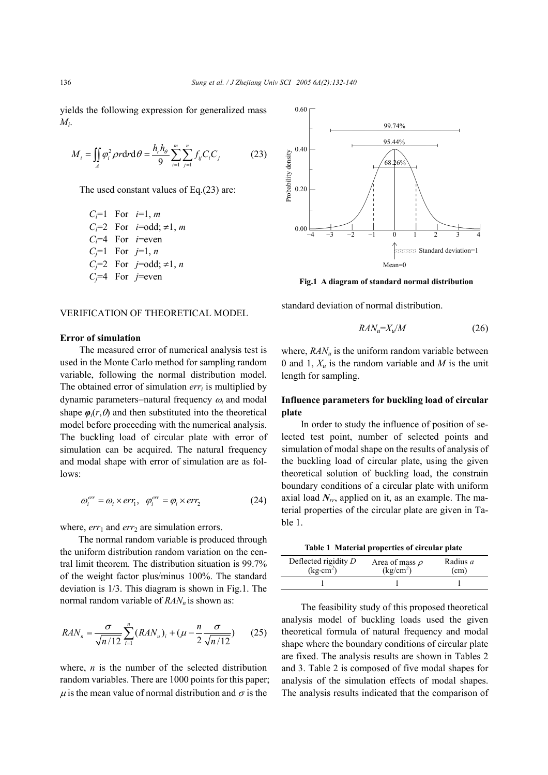yields the following expression for generalized mass *Mi*.

$$
M_i = \iint_A \varphi_i^2 \rho r dr d\theta = \frac{h_r h_\theta}{9} \sum_{i=1}^m \sum_{j=1}^n f_{ij} C_i C_j
$$
 (23)

The used constant values of Eq.(23) are:

*Ci*=1 For *i*=1, *m C<sub>i</sub>*=2 For *i*=odd;  $\neq$ 1, *m Ci*=4 For *i*=even *Cj*=1 For *j*=1, *n Cj*=2 For *j*=odd; ≠1, *n Cj*=4 For *j*=even

#### VERIFICATION OF THEORETICAL MODEL

## **Error of simulation**

The measured error of numerical analysis test is used in the Monte Carlo method for sampling random variable, following the normal distribution model. The obtained error of simulation  $err_i$  is multiplied by dynamic parameters−natural frequency <sup>ω</sup>*i* and modal shape  $\varphi_i(r, \theta)$  and then substituted into the theoretical model before proceeding with the numerical analysis. The buckling load of circular plate with error of simulation can be acquired. The natural frequency and modal shape with error of simulation are as follows:

$$
\omega_i^{err} = \omega_i \times err_1, \quad \varphi_i^{err} = \varphi_i \times err_2 \tag{24}
$$

where, *err*<sub>1</sub> and *err*<sub>2</sub> are simulation errors.

The normal random variable is produced through the uniform distribution random variation on the central limit theorem. The distribution situation is 99.7% of the weight factor plus/minus 100%. The standard deviation is 1/3. This diagram is shown in Fig.1. The normal random variable of  $RAN_n$  is shown as:

$$
RAN_n = \frac{\sigma}{\sqrt{n/12}} \sum_{i=1}^n (RAN_u)_i + (\mu - \frac{n}{2} \frac{\sigma}{\sqrt{n/12}})
$$
 (25)

where, *n* is the number of the selected distribution random variables. There are 1000 points for this paper; u is the mean value of normal distribution and  $\sigma$  is the



**Fig.1 A diagram of standard normal distribution** 

standard deviation of normal distribution.

$$
RAN_u = X_u/M \tag{26}
$$

where,  $RAN_u$  is the uniform random variable between 0 and 1,  $X_u$  is the random variable and *M* is the unit length for sampling.

## **Influence parameters for buckling load of circular plate**

In order to study the influence of position of selected test point, number of selected points and simulation of modal shape on the results of analysis of the buckling load of circular plate, using the given theoretical solution of buckling load, the constrain boundary conditions of a circular plate with uniform axial load *Nrr*, applied on it, as an example. The material properties of the circular plate are given in Table 1.

| Table 1 Material properties of circular plate |  |  |  |  |  |
|-----------------------------------------------|--|--|--|--|--|
|-----------------------------------------------|--|--|--|--|--|

| Deflected rigidity $D$ | Area of mass $\rho$   | Radius <i>a</i> |
|------------------------|-----------------------|-----------------|
| $(kg \cdot cm^2)$      | (kg/cm <sup>2</sup> ) | (cm)            |
|                        |                       |                 |

The feasibility study of this proposed theoretical analysis model of buckling loads used the given theoretical formula of natural frequency and modal shape where the boundary conditions of circular plate are fixed. The analysis results are shown in Tables 2 and 3. Table 2 is composed of five modal shapes for analysis of the simulation effects of modal shapes. The analysis results indicated that the comparison of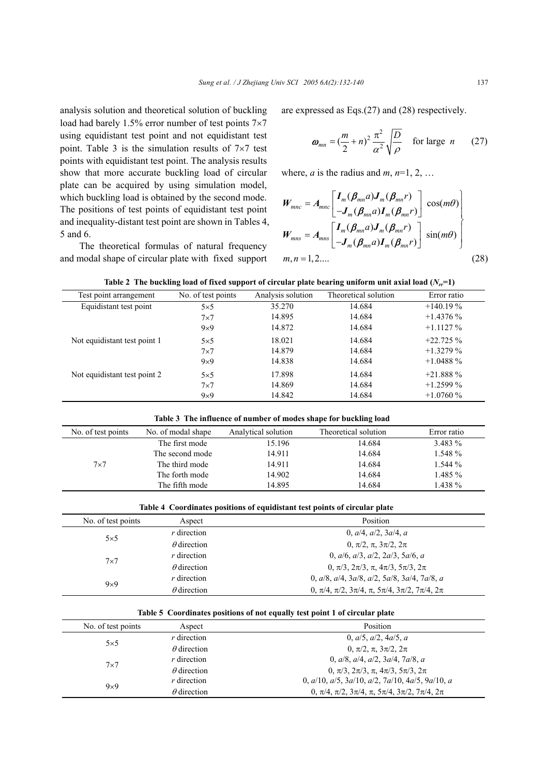analysis solution and theoretical solution of buckling load had barely 1.5% error number of test points  $7\times7$ using equidistant test point and not equidistant test point. Table 3 is the simulation results of  $7\times7$  test points with equidistant test point. The analysis results show that more accurate buckling load of circular plate can be acquired by using simulation model, which buckling load is obtained by the second mode. The positions of test points of equidistant test point and inequality-distant test point are shown in Tables 4, 5 and 6.

The theoretical formulas of natural frequency and modal shape of circular plate with fixed support are expressed as Eqs.(27) and (28) respectively.

$$
\boldsymbol{\omega}_{mn} = \left(\frac{m}{2} + n\right)^2 \frac{\pi^2}{\alpha^2} \sqrt{\frac{D}{\rho}} \quad \text{for large } n \qquad (27)
$$

where, *a* is the radius and *m*,  $n=1, 2, ...$ 

$$
W_{mnc} = A_{mnc} \begin{bmatrix} I_m(\boldsymbol{\beta}_{mn}a)J_m(\boldsymbol{\beta}_{mn}r) \\ -J_m(\boldsymbol{\beta}_{mn}a)I_m(\boldsymbol{\beta}_{mn}r) \end{bmatrix} \cos(m\theta)
$$
  
\n
$$
W_{mns} = A_{mns} \begin{bmatrix} I_m(\boldsymbol{\beta}_{mn}a)J_m(\boldsymbol{\beta}_{mn}r) \\ -J_m(\boldsymbol{\beta}_{mn}a)I_m(\boldsymbol{\beta}_{mn}r) \end{bmatrix} \sin(m\theta)
$$
  
\n
$$
m, n = 1, 2, ... \qquad (28)
$$

|  |  |  |  |  | Table 2 The buckling load of fixed support of circular plate bearing uniform unit axial load $(N_{rr} = 1)$ |
|--|--|--|--|--|-------------------------------------------------------------------------------------------------------------|
|--|--|--|--|--|-------------------------------------------------------------------------------------------------------------|

| Test point arrangement       | No. of test points | Analysis solution | Theoretical solution | Error ratio |
|------------------------------|--------------------|-------------------|----------------------|-------------|
| Equidistant test point       | $5\times5$         | 35.270            | 14.684               | $+140.19%$  |
|                              | $7\times7$         | 14.895            | 14.684               | $+1.4376\%$ |
|                              | $9\times9$         | 14.872            | 14.684               | $+1.1127\%$ |
| Not equidistant test point 1 | $5\times5$         | 18.021            | 14.684               | $+22.725%$  |
|                              | $7\times7$         | 14.879            | 14.684               | $+1.3279%$  |
|                              | $9\times9$         | 14.838            | 14.684               | $+1.0488%$  |
| Not equidistant test point 2 | $5\times5$         | 17.898            | 14.684               | $+21.888%$  |
|                              | $7\times7$         | 14.869            | 14.684               | $+1.2599\%$ |
|                              | $9\times9$         | 14.842            | 14.684               | $+1.0760\%$ |

**Table 3 The influence of number of modes shape for buckling load** 

| No. of test points | No. of modal shape | Analytical solution | Theoretical solution | Error ratio |
|--------------------|--------------------|---------------------|----------------------|-------------|
|                    | The first mode     | 15.196              | 14.684               | $3.483\%$   |
| $7\times7$         | The second mode    | 14.911              | 14.684               | 1.548 %     |
|                    | The third mode     | 14.911              | 14.684               | 1.544 %     |
|                    | The forth mode     | 14.902              | 14.684               | 1.485 %     |
|                    | The fifth mode     | 14.895              | 14.684               | 1.438 %     |
|                    |                    |                     |                      |             |

**Table 4 Coordinates positions of equidistant test points of circular plate** 

| No. of test points | Aspect             | Position                                                         |
|--------------------|--------------------|------------------------------------------------------------------|
| $5\times5$         | $r$ direction      | 0, $a/4$ , $a/2$ , $3a/4$ , a                                    |
|                    | $\theta$ direction | $0, \pi/2, \pi, 3\pi/2, 2\pi$                                    |
| $7\times7$         | $r$ direction      | 0, $a/6$ , $a/3$ , $a/2$ , $2a/3$ , $5a/6$ , a                   |
|                    | $\theta$ direction | $0, \pi/3, 2\pi/3, \pi, 4\pi/3, 5\pi/3, 2\pi$                    |
| $9\times9$         | $r$ direction      | 0, $a/8$ , $a/4$ , $3a/8$ , $a/2$ , $5a/8$ , $3a/4$ , $7a/8$ , a |
|                    | $\theta$ direction | $0, \pi/4, \pi/2, 3\pi/4, \pi, 5\pi/4, 3\pi/2, 7\pi/4, 2\pi$     |
|                    |                    |                                                                  |

|  |  | Table 5 Coordinates positions of not equally test point 1 of circular plate |
|--|--|-----------------------------------------------------------------------------|
|  |  |                                                                             |

| No. of test points | Aspect             | Position                                                             |
|--------------------|--------------------|----------------------------------------------------------------------|
| $5\times5$         | $r$ direction      | 0, a/5, a/2, 4a/5, a                                                 |
|                    | $\theta$ direction | $0, \pi/2, \pi, 3\pi/2, 2\pi$                                        |
| $7\times7$         | $r$ direction      | 0, $a/8$ , $a/4$ , $a/2$ , $3a/4$ , $7a/8$ , a                       |
|                    | $\theta$ direction | $0, \pi/3, 2\pi/3, \pi, 4\pi/3, 5\pi/3, 2\pi$                        |
| $9\times9$         | $r$ direction      | 0, $a/10$ , $a/5$ , $3a/10$ , $a/2$ , $7a/10$ , $4a/5$ , $9a/10$ , a |
|                    | $\theta$ direction | $0, \pi/4, \pi/2, 3\pi/4, \pi, 5\pi/4, 3\pi/2, 7\pi/4, 2\pi$         |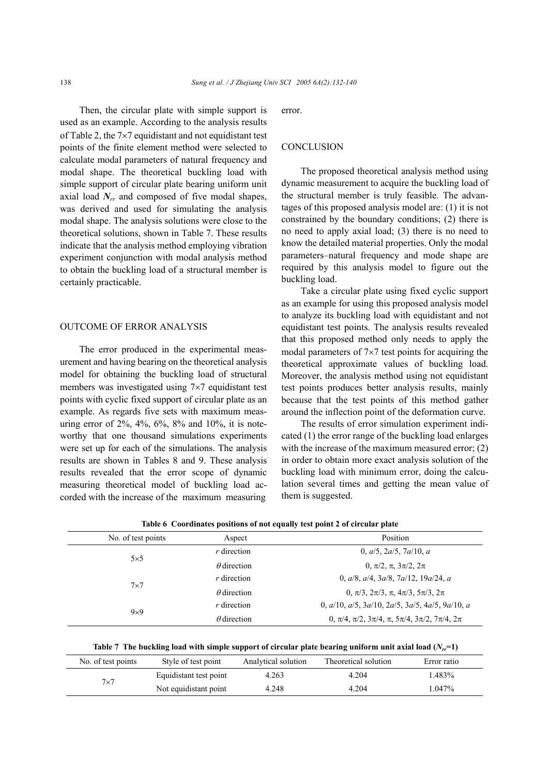Then, the circular plate with simple support is used as an example. According to the analysis results of Table 2, the 7×7 equidistant and not equidistant test points of the finite element method were selected to calculate modal parameters of natural frequency and modal shape. The theoretical buckling load with simple support of circular plate bearing uniform unit axial load  $N_{rr}$  and composed of five modal shapes, was derived and used for simulating the analysis modal shape. The analysis solutions were close to the theoretical solutions, shown in Table 7. These results indicate that the analysis method employing vibration experiment conjunction with modal analysis method to obtain the buckling load of a structural member is certainly practicable.

## OUTCOME OF ERROR ANALYSIS

The error produced in the experimental measurement and having bearing on the theoretical analysis model for obtaining the buckling load of structural members was investigated using 7×7 equidistant test points with cyclic fixed support of circular plate as an example. As regards five sets with maximum measuring error of 2%, 4%, 6%, 8% and 10%, it is noteworthy that one thousand simulations experiments were set up for each of the simulations. The analysis results are shown in Tables 8 and 9. These analysis results revealed that the error scope of dynamic measuring theoretical model of buckling load accorded with the increase of the maximum measuring error.

## **CONCLUSION**

The proposed theoretical analysis method using dynamic measurement to acquire the buckling load of the structural member is truly feasible. The advantages of this proposed analysis model are: (1) it is not constrained by the boundary conditions; (2) there is no need to apply axial load; (3) there is no need to know the detailed material properties. Only the modal parameters–natural frequency and mode shape are required by this analysis model to figure out the buckling load.

Take a circular plate using fixed cyclic support as an example for using this proposed analysis model to analyze its buckling load with equidistant and not equidistant test points. The analysis results revealed that this proposed method only needs to apply the modal parameters of  $7\times7$  test points for acquiring the theoretical approximate values of buckling load. Moreover, the analysis method using not equidistant test points produces better analysis results, mainly because that the test points of this method gather around the inflection point of the deformation curve.

The results of error simulation experiment indicated (1) the error range of the buckling load enlarges with the increase of the maximum measured error; (2) in order to obtain more exact analysis solution of the buckling load with minimum error, doing the calculation several times and getting the mean value of them is suggested.

| No. of test points | Aspect             | Position                                                             |  |  |  |
|--------------------|--------------------|----------------------------------------------------------------------|--|--|--|
| $5\times5$         | $r$ direction      | 0, $a/5$ , $2a/5$ , $7a/10$ , a                                      |  |  |  |
|                    | $\theta$ direction | $0. \pi/2. \pi. 3\pi/2. 2\pi$                                        |  |  |  |
|                    | $r$ direction      | 0, $a/8$ , $a/4$ , $3a/8$ , $7a/12$ , $19a/24$ , a                   |  |  |  |
| $7\times7$         | $\theta$ direction | $0. \pi/3. 2\pi/3. \pi. 4\pi/3. 5\pi/3. 2\pi$                        |  |  |  |
|                    | $r$ direction      | 0, $a/10$ , $a/5$ , $3a/10$ , $2a/5$ , $3a/5$ , $4a/5$ , $9a/10$ , a |  |  |  |
| $9\times9$         | $\theta$ direction | $0, \pi/4, \pi/2, 3\pi/4, \pi, 5\pi/4, 3\pi/2, 7\pi/4, 2\pi$         |  |  |  |

**Table 6 Coordinates positions of not equally test point 2 of circular plate** 

Table 7 The buckling load with simple support of circular plate bearing uniform unit axial load  $(N<sub>r</sub>=1)$ 

| No. of test points | Style of test point    | Analytical solution | Theoretical solution | Error ratio |
|--------------------|------------------------|---------------------|----------------------|-------------|
| $7\times7$         | Equidistant test point | 4.263               | 4.204                | 1.483%      |
|                    | Not equidistant point  | 4.248               | 4.204                | $1.047\%$   |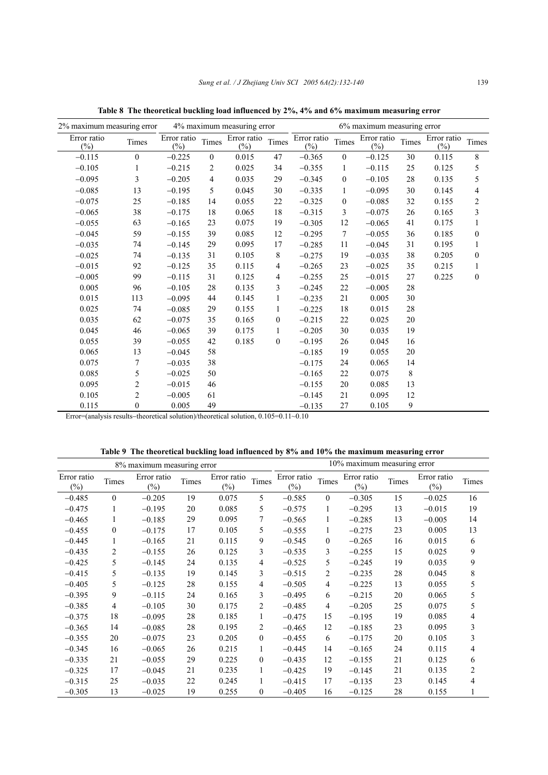| 2% maximum measuring error |                  |                       |                | 4% maximum measuring error | 6% maximum measuring error |                       |                  |                       |        |                       |                  |
|----------------------------|------------------|-----------------------|----------------|----------------------------|----------------------------|-----------------------|------------------|-----------------------|--------|-----------------------|------------------|
| Error ratio<br>$(\%)$      | Times            | Error ratio<br>$(\%)$ | Times          | Error ratio<br>$(\%)$      | Times                      | Error ratio<br>$(\%)$ | Times            | Error ratio<br>$(\%)$ | Times  | Error ratio<br>$(\%)$ | Times            |
| $-0.115$                   | $\boldsymbol{0}$ | $-0.225$              | $\overline{0}$ | 0.015                      | 47                         | $-0.365$              | $\overline{0}$   | $-0.125$              | 30     | 0.115                 | $\,8\,$          |
| $-0.105$                   | 1                | $-0.215$              | 2              | 0.025                      | 34                         | $-0.355$              | 1                | $-0.115$              | 25     | 0.125                 | 5                |
| $-0.095$                   | 3                | $-0.205$              | 4              | 0.035                      | 29                         | $-0.345$              | $\boldsymbol{0}$ | $-0.105$              | 28     | 0.135                 | 5                |
| $-0.085$                   | 13               | $-0.195$              | 5              | 0.045                      | 30                         | $-0.335$              | 1                | $-0.095$              | 30     | 0.145                 | $\overline{4}$   |
| $-0.075$                   | 25               | $-0.185$              | 14             | 0.055                      | 22                         | $-0.325$              | 0                | $-0.085$              | 32     | 0.155                 | 2                |
| $-0.065$                   | 38               | $-0.175$              | 18             | 0.065                      | 18                         | $-0.315$              | 3                | $-0.075$              | 26     | 0.165                 | $\mathfrak{Z}$   |
| $-0.055$                   | 63               | $-0.165$              | 23             | 0.075                      | 19                         | $-0.305$              | 12               | $-0.065$              | 41     | 0.175                 | 1                |
| $-0.045$                   | 59               | $-0.155$              | 39             | 0.085                      | 12                         | $-0.295$              | 7                | $-0.055$              | 36     | 0.185                 | $\boldsymbol{0}$ |
| $-0.035$                   | 74               | $-0.145$              | 29             | 0.095                      | 17                         | $-0.285$              | 11               | $-0.045$              | 31     | 0.195                 | $\mathbf{1}$     |
| $-0.025$                   | 74               | $-0.135$              | 31             | 0.105                      | $8\,$                      | $-0.275$              | 19               | $-0.035$              | 38     | 0.205                 | $\boldsymbol{0}$ |
| $-0.015$                   | 92               | $-0.125$              | 35             | 0.115                      | 4                          | $-0.265$              | 23               | $-0.025$              | 35     | 0.215                 | 1                |
| $-0.005$                   | 99               | $-0.115$              | 31             | 0.125                      | 4                          | $-0.255$              | 25               | $-0.015$              | 27     | 0.225                 | $\boldsymbol{0}$ |
| 0.005                      | 96               | $-0.105$              | 28             | 0.135                      | 3                          | $-0.245$              | 22               | $-0.005$              | $28\,$ |                       |                  |
| 0.015                      | 113              | $-0.095$              | 44             | 0.145                      | $\mathbf{1}$               | $-0.235$              | 21               | 0.005                 | 30     |                       |                  |
| 0.025                      | 74               | $-0.085$              | 29             | 0.155                      | $\mathbf{1}$               | $-0.225$              | 18               | 0.015                 | $28\,$ |                       |                  |
| 0.035                      | 62               | $-0.075$              | 35             | 0.165                      | $\boldsymbol{0}$           | $-0.215$              | 22               | 0.025                 | 20     |                       |                  |
| 0.045                      | 46               | $-0.065$              | 39             | 0.175                      | 1                          | $-0.205$              | 30               | 0.035                 | 19     |                       |                  |
| 0.055                      | 39               | $-0.055$              | 42             | 0.185                      | $\boldsymbol{0}$           | $-0.195$              | 26               | 0.045                 | 16     |                       |                  |
| 0.065                      | 13               | $-0.045$              | 58             |                            |                            | $-0.185$              | 19               | 0.055                 | 20     |                       |                  |
| 0.075                      | 7                | $-0.035$              | 38             |                            |                            | $-0.175$              | 24               | 0.065                 | 14     |                       |                  |
| 0.085                      | 5                | $-0.025$              | 50             |                            |                            | $-0.165$              | 22               | 0.075                 | 8      |                       |                  |
| 0.095                      | $\overline{c}$   | $-0.015$              | 46             |                            |                            | $-0.155$              | 20               | 0.085                 | 13     |                       |                  |
| 0.105                      | $\overline{c}$   | $-0.005$              | 61             |                            |                            | $-0.145$              | 21               | 0.095                 | 12     |                       |                  |
| 0.115                      | $\boldsymbol{0}$ | 0.005                 | 49             |                            |                            | $-0.135$              | 27               | 0.105                 | 9      |                       |                  |

**Table 8 The theoretical buckling load influenced by 2%, 4% and 6% maximum measuring error** 

Error=(analysis results−theoretical solution)/theoretical solution, 0.105=0.11~0.10

**Table 9 The theoretical buckling load influenced by 8% and 10% the maximum measuring error** 

| 8% maximum measuring error |              |                       |       |                       |                |                       | 10% maximum measuring error |                       |       |                       |                |
|----------------------------|--------------|-----------------------|-------|-----------------------|----------------|-----------------------|-----------------------------|-----------------------|-------|-----------------------|----------------|
| Error ratio<br>$(\%)$      | Times        | Error ratio<br>$(\%)$ | Times | Error ratio<br>$(\%)$ | Times          | Error ratio<br>$(\%)$ | Times                       | Error ratio<br>$(\%)$ | Times | Error ratio<br>$(\%)$ | Times          |
| $-0.485$                   | $\mathbf{0}$ | $-0.205$              | 19    | 0.075                 | 5              | $-0.585$              | $\overline{0}$              | $-0.305$              | 15    | $-0.025$              | 16             |
| $-0.475$                   | 1            | $-0.195$              | 20    | 0.085                 | 5              | $-0.575$              | 1                           | $-0.295$              | 13    | $-0.015$              | 19             |
| $-0.465$                   | 1            | $-0.185$              | 29    | 0.095                 | 7              | $-0.565$              | 1                           | $-0.285$              | 13    | $-0.005$              | 14             |
| $-0.455$                   | $\Omega$     | $-0.175$              | 17    | 0.105                 | 5              | $-0.555$              | 1                           | $-0.275$              | 23    | 0.005                 | 13             |
| $-0.445$                   | 1            | $-0.165$              | 21    | 0.115                 | 9              | $-0.545$              | $\theta$                    | $-0.265$              | 16    | 0.015                 | 6              |
| $-0.435$                   | 2            | $-0.155$              | 26    | 0.125                 | 3              | $-0.535$              | 3                           | $-0.255$              | 15    | 0.025                 | 9              |
| $-0.425$                   | 5            | $-0.145$              | 24    | 0.135                 | $\overline{4}$ | $-0.525$              | 5                           | $-0.245$              | 19    | 0.035                 | 9              |
| $-0.415$                   | 5            | $-0.135$              | 19    | 0.145                 | 3              | $-0.515$              | 2                           | $-0.235$              | 28    | 0.045                 | 8              |
| $-0.405$                   | 5            | $-0.125$              | 28    | 0.155                 | $\overline{4}$ | $-0.505$              | $\overline{4}$              | $-0.225$              | 13    | 0.055                 | 5              |
| $-0.395$                   | 9            | $-0.115$              | 24    | 0.165                 | 3              | $-0.495$              | 6                           | $-0.215$              | 20    | 0.065                 | 5              |
| $-0.385$                   | 4            | $-0.105$              | 30    | 0.175                 | 2              | $-0.485$              | 4                           | $-0.205$              | 25    | 0.075                 | 5              |
| $-0.375$                   | 18           | $-0.095$              | 28    | 0.185                 | 1              | $-0.475$              | 15                          | $-0.195$              | 19    | 0.085                 | $\overline{4}$ |
| $-0.365$                   | 14           | $-0.085$              | 28    | 0.195                 | $\overline{c}$ | $-0.465$              | 12                          | $-0.185$              | 23    | 0.095                 | 3              |
| $-0.355$                   | 20           | $-0.075$              | 23    | 0.205                 | $\mathbf{0}$   | $-0.455$              | 6                           | $-0.175$              | 20    | 0.105                 | 3              |
| $-0.345$                   | 16           | $-0.065$              | 26    | 0.215                 | 1              | $-0.445$              | 14                          | $-0.165$              | 24    | 0.115                 | $\overline{4}$ |
| $-0.335$                   | 21           | $-0.055$              | 29    | 0.225                 | $\mathbf{0}$   | $-0.435$              | 12                          | $-0.155$              | 21    | 0.125                 | 6              |
| $-0.325$                   | 17           | $-0.045$              | 21    | 0.235                 | 1              | $-0.425$              | 19                          | $-0.145$              | 21    | 0.135                 | 2              |
| $-0.315$                   | 25           | $-0.035$              | 22    | 0.245                 | 1              | $-0.415$              | 17                          | $-0.135$              | 23    | 0.145                 | 4              |
| $-0.305$                   | 13           | $-0.025$              | 19    | 0.255                 | $\mathbf{0}$   | $-0.405$              | 16                          | $-0.125$              | 28    | 0.155                 |                |